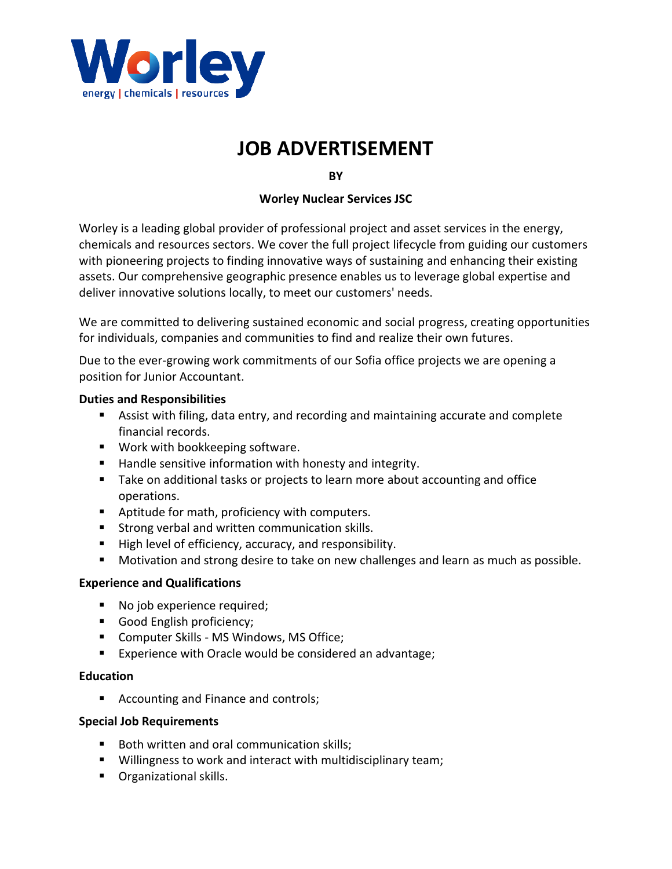

# **JOB ADVERTISEMENT**

**BY** 

## **Worley Nuclear Services JSC**

Worley is a leading global provider of professional project and asset services in the energy, chemicals and resources sectors. We cover the full project lifecycle from guiding our customers with pioneering projects to finding innovative ways of sustaining and enhancing their existing assets. Our comprehensive geographic presence enables us to leverage global expertise and deliver innovative solutions locally, to meet our customers' needs.

We are committed to delivering sustained economic and social progress, creating opportunities for individuals, companies and communities to find and realize their own futures.

Due to the ever-growing work commitments of our Sofia office projects we are opening a position for Junior Accountant.

#### **Duties and Responsibilities**

- Assist with filing, data entry, and recording and maintaining accurate and complete financial records.
- Work with bookkeeping software.
- Handle sensitive information with honesty and integrity.
- Take on additional tasks or projects to learn more about accounting and office operations.
- Aptitude for math, proficiency with computers.
- Strong verbal and written communication skills.
- High level of efficiency, accuracy, and responsibility.
- Motivation and strong desire to take on new challenges and learn as much as possible.

## **Experience and Qualifications**

- No job experience required;
- Good English proficiency;
- Computer Skills MS Windows, MS Office;
- Experience with Oracle would be considered an advantage;

## **Education**

■ Accounting and Finance and controls;

## **Special Job Requirements**

- Both written and oral communication skills;
- Willingness to work and interact with multidisciplinary team;
- Organizational skills.